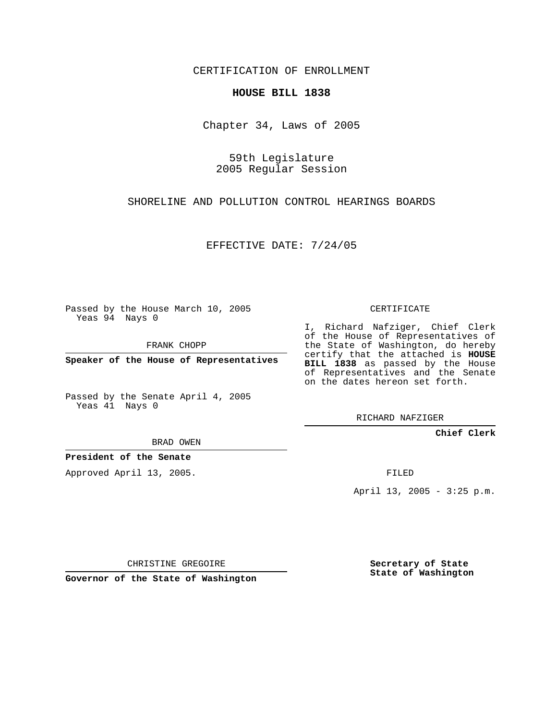CERTIFICATION OF ENROLLMENT

## **HOUSE BILL 1838**

Chapter 34, Laws of 2005

59th Legislature 2005 Regular Session

SHORELINE AND POLLUTION CONTROL HEARINGS BOARDS

EFFECTIVE DATE: 7/24/05

Passed by the House March 10, 2005 Yeas 94 Nays 0

FRANK CHOPP

**Speaker of the House of Representatives**

Passed by the Senate April 4, 2005 Yeas 41 Nays 0

CERTIFICATE

I, Richard Nafziger, Chief Clerk of the House of Representatives of the State of Washington, do hereby certify that the attached is **HOUSE BILL 1838** as passed by the House of Representatives and the Senate on the dates hereon set forth.

RICHARD NAFZIGER

**Chief Clerk**

BRAD OWEN

**President of the Senate**

Approved April 13, 2005.

FILED

April 13, 2005 - 3:25 p.m.

CHRISTINE GREGOIRE

**Governor of the State of Washington**

**Secretary of State State of Washington**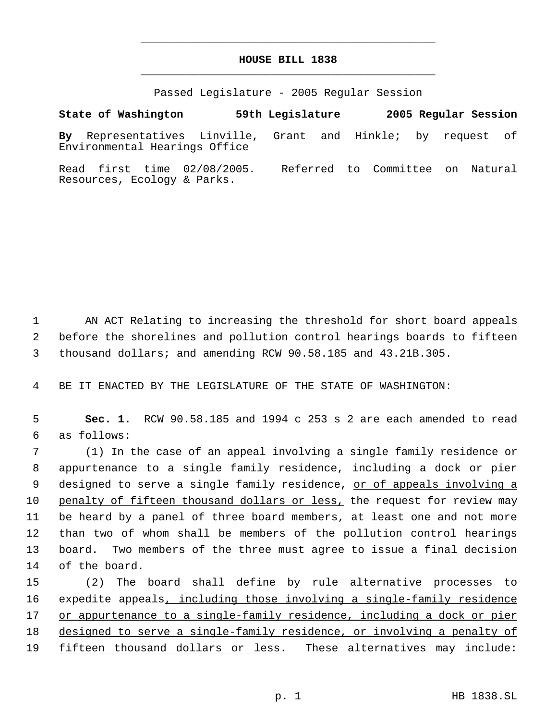## **HOUSE BILL 1838** \_\_\_\_\_\_\_\_\_\_\_\_\_\_\_\_\_\_\_\_\_\_\_\_\_\_\_\_\_\_\_\_\_\_\_\_\_\_\_\_\_\_\_\_\_

\_\_\_\_\_\_\_\_\_\_\_\_\_\_\_\_\_\_\_\_\_\_\_\_\_\_\_\_\_\_\_\_\_\_\_\_\_\_\_\_\_\_\_\_\_

Passed Legislature - 2005 Regular Session

**State of Washington 59th Legislature 2005 Regular Session By** Representatives Linville, Grant and Hinkle; by request of Environmental Hearings Office Read first time 02/08/2005. Referred to Committee on Natural

1 AN ACT Relating to increasing the threshold for short board appeals 2 before the shorelines and pollution control hearings boards to fifteen 3 thousand dollars; and amending RCW 90.58.185 and 43.21B.305.

4 BE IT ENACTED BY THE LEGISLATURE OF THE STATE OF WASHINGTON:

Resources, Ecology & Parks.

 5 **Sec. 1.** RCW 90.58.185 and 1994 c 253 s 2 are each amended to read 6 as follows:

 (1) In the case of an appeal involving a single family residence or appurtenance to a single family residence, including a dock or pier 9 designed to serve a single family residence, or of appeals involving a 10 penalty of fifteen thousand dollars or less, the request for review may be heard by a panel of three board members, at least one and not more than two of whom shall be members of the pollution control hearings board. Two members of the three must agree to issue a final decision of the board.

15 (2) The board shall define by rule alternative processes to 16 expedite appeals, including those involving a single-family residence 17 or appurtenance to a single-family residence, including a dock or pier 18 designed to serve a single-family residence, or involving a penalty of 19 fifteen thousand dollars or less. These alternatives may include: